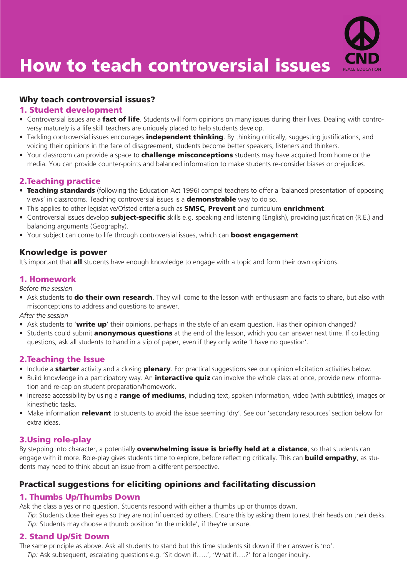

# How to teach controversial issues

## Why teach controversial issues?

#### 1. Student development

- Controversial issues are a fact of life. Students will form opinions on many issues during their lives. Dealing with controversy maturely is a life skill teachers are uniquely placed to help students develop.
- Tackling controversial issues encourages **independent thinking**. By thinking critically, suggesting justifications, and voicing their opinions in the face of disagreement, students become better speakers, listeners and thinkers.
- Your classroom can provide a space to **challenge misconceptions** students may have acquired from home or the media. You can provide counter-points and balanced information to make students re-consider biases or prejudices.

#### 2.Teaching practice

- Teaching standards (following the Education Act 1996) compel teachers to offer a 'balanced presentation of opposing views' in classrooms. Teaching controversial issues is a **demonstrable** way to do so.
- This applies to other legislative/Ofsted criteria such as **SMSC, Prevent** and curriculum **enrichment**.
- Controversial issues develop **subject-specific** skills e.g. speaking and listening (English), providing justification (R.E.) and balancing arguments (Geography).
- Your subject can come to life through controversial issues, which can **boost engagement**.

#### Knowledge is power

It's important that **all** students have enough knowledge to engage with a topic and form their own opinions.

### 1. Homework

*Before the session*

• Ask students to **do their own research**. They will come to the lesson with enthusiasm and facts to share, but also with misconceptions to address and questions to answer.

*After the session*

- Ask students to 'write up' their opinions, perhaps in the style of an exam question. Has their opinion changed?
- Students could submit **anonymous questions** at the end of the lesson, which you can answer next time. If collecting questions, ask all students to hand in a slip of paper, even if they only write 'I have no question'.

#### 2.Teaching the Issue

- Include a **starter** activity and a closing **plenary**. For practical suggestions see our opinion elicitation activities below.
- Build knowledge in a participatory way. An *interactive quiz* can involve the whole class at once, provide new information and re-cap on student preparation/homework.
- Increase accessibility by using a range of mediums, including text, spoken information, video (with subtitles), images or kinesthetic tasks.
- Make information **relevant** to students to avoid the issue seeming 'dry'. See our 'secondary resources' section below for extra ideas.

### 3.Using role-play

By stepping into character, a potentially **overwhelming issue is briefly held at a distance**, so that students can engage with it more. Role-play gives students time to explore, before reflecting critically. This can **build empathy**, as students may need to think about an issue from a different perspective.

## Practical suggestions for eliciting opinions and facilitating discussion

### 1. Thumbs Up/Thumbs Down

Ask the class a yes or no question. Students respond with either a thumbs up or thumbs down.

*Tip:* Students close their eyes so they are not influenced by others. Ensure this by asking them to rest their heads on their desks. *Tip:* Students may choose a thumb position 'in the middle', if they're unsure.

### 2. Stand Up/Sit Down

The same principle as above. Ask all students to stand but this time students sit down if their answer is 'no'. *Tip:* Ask subsequent, escalating questions e.g. 'Sit down if…..', 'What if….?' for a longer inquiry.